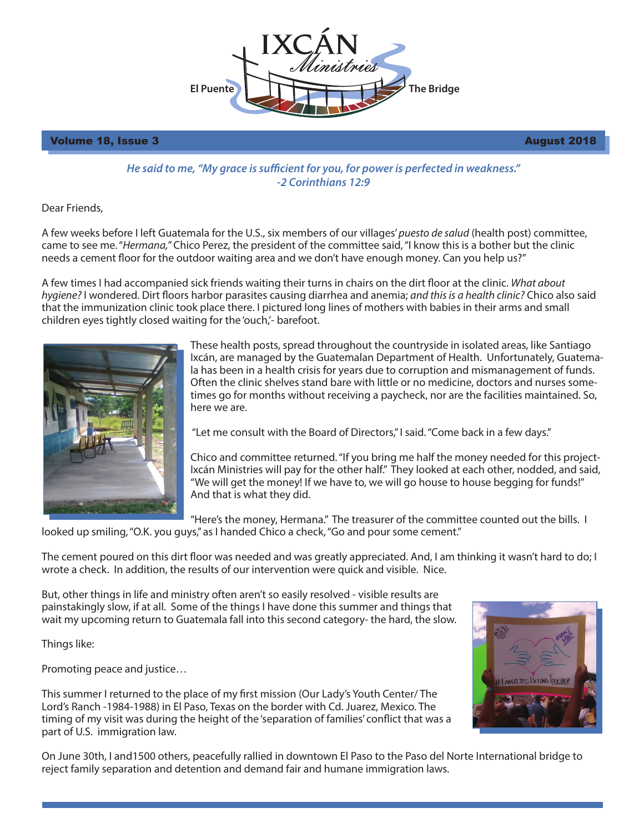

## Volume 18, Issue 3 August 2018

He said to me, "My grace is sufficient for you, for power is perfected in weakness." *-2 Corinthians 12:9*

Dear Friends,

A few weeks before I left Guatemala for the U.S., six members of our villages' *puesto de salud* (health post) committee, came to see me. "*Hermana,*" Chico Perez, the president of the committee said, "I know this is a bother but the clinic needs a cement floor for the outdoor waiting area and we don't have enough money. Can you help us?"

A few times I had accompanied sick friends waiting their turns in chairs on the dirt floor at the clinic. *What about hygiene?* I wondered. Dirt floors harbor parasites causing diarrhea and anemia; *and this is a health clinic?* Chico also said that the immunization clinic took place there. I pictured long lines of mothers with babies in their arms and small children eyes tightly closed waiting for the 'ouch,'- barefoot.



These health posts, spread throughout the countryside in isolated areas, like Santiago Ixcán, are managed by the Guatemalan Department of Health. Unfortunately, Guatemala has been in a health crisis for years due to corruption and mismanagement of funds. Often the clinic shelves stand bare with little or no medicine, doctors and nurses sometimes go for months without receiving a paycheck, nor are the facilities maintained. So, here we are.

"Let me consult with the Board of Directors," I said. "Come back in a few days."

Chico and committee returned. "If you bring me half the money needed for this project-Ixcán Ministries will pay for the other half." They looked at each other, nodded, and said, "We will get the money! If we have to, we will go house to house begging for funds!" And that is what they did.

"Here's the money, Hermana." The treasurer of the committee counted out the bills. I looked up smiling, "O.K. you guys," as I handed Chico a check, "Go and pour some cement."

The cement poured on this dirt floor was needed and was greatly appreciated. And, I am thinking it wasn't hard to do; I wrote a check. In addition, the results of our intervention were quick and visible. Nice.

But, other things in life and ministry often aren't so easily resolved - visible results are painstakingly slow, if at all. Some of the things I have done this summer and things that wait my upcoming return to Guatemala fall into this second category- the hard, the slow.

Things like:

Promoting peace and justice…

This summer I returned to the place of my first mission (Our Lady's Youth Center/ The Lord's Ranch -1984-1988) in El Paso, Texas on the border with Cd. Juarez, Mexico. The timing of my visit was during the height of the 'separation of families' conflict that was a part of U.S. immigration law.



On June 30th, I and1500 others, peacefully rallied in downtown El Paso to the Paso del Norte International bridge to reject family separation and detention and demand fair and humane immigration laws.